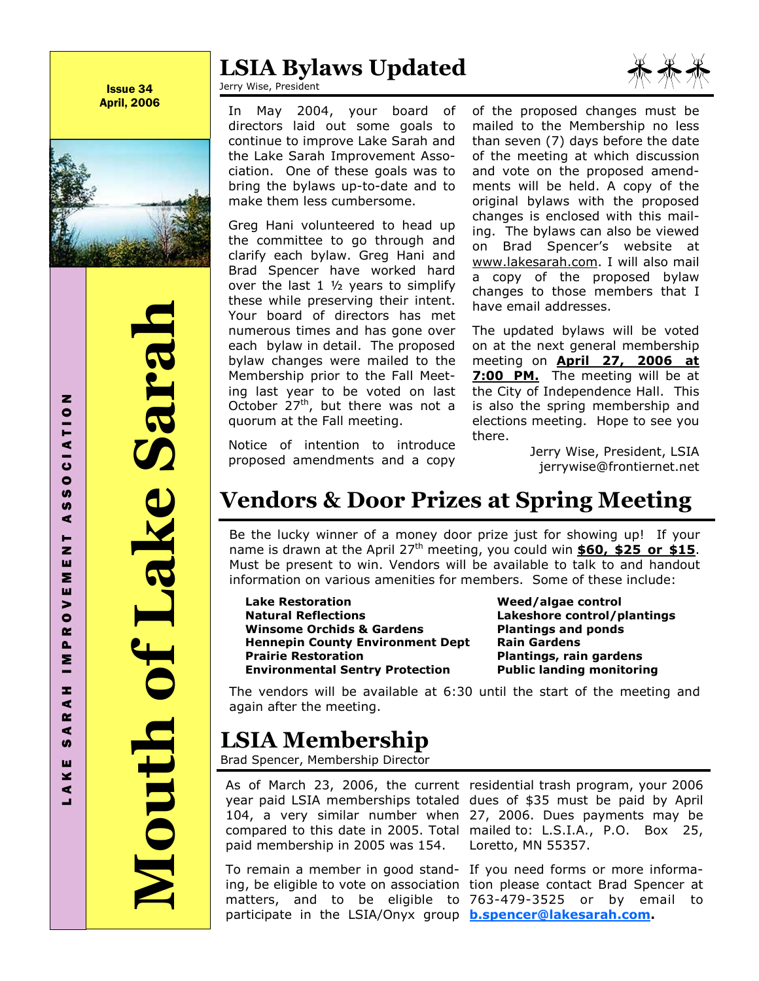Issue 34 April, 2006



 Mouth of Lake Sarah **Lake Sara** outh

## LSIA Bylaws Updated



Jerry Wise, President

In May 2004, your board of directors laid out some goals to continue to improve Lake Sarah and the Lake Sarah Improvement Association. One of these goals was to bring the bylaws up-to-date and to make them less cumbersome.

Greg Hani volunteered to head up the committee to go through and clarify each bylaw. Greg Hani and Brad Spencer have worked hard over the last  $1 \frac{1}{2}$  years to simplify these while preserving their intent. Your board of directors has met numerous times and has gone over each bylaw in detail. The proposed bylaw changes were mailed to the Membership prior to the Fall Meeting last year to be voted on last October  $27<sup>th</sup>$ , but there was not a quorum at the Fall meeting.

Notice of intention to introduce proposed amendments and a copy of the proposed changes must be mailed to the Membership no less than seven (7) days before the date of the meeting at which discussion and vote on the proposed amendments will be held. A copy of the original bylaws with the proposed changes is enclosed with this mailing. The bylaws can also be viewed on Brad Spencer's website at www.lakesarah.com. I will also mail a copy of the proposed bylaw changes to those members that I have email addresses.

The updated bylaws will be voted on at the next general membership meeting on **April 27, 2006 at** 7:00 PM. The meeting will be at the City of Independence Hall. This is also the spring membership and elections meeting. Hope to see you there.

> Jerry Wise, President, LSIA jerrywise@frontiernet.net

## Vendors & Door Prizes at Spring Meeting

Be the lucky winner of a money door prize just for showing up! If your name is drawn at the April 27<sup>th</sup> meeting, you could win  $$60, $25$  or \$15. Must be present to win. Vendors will be available to talk to and handout information on various amenities for members. Some of these include:

Lake Restoration **Exercise Service Control** Natural Reflections Lakeshore control/plantings Winsome Orchids & Gardens Plantings and ponds Hennepin County Environment Dept Rain Gardens Prairie Restoration **Plantings**, rain gardens Environmental Sentry Protection Public landing monitoring

The vendors will be available at 6:30 until the start of the meeting and again after the meeting.

## LSIA Membership

Brad Spencer, Membership Director

As of March 23, 2006, the current residential trash program, your 2006 year paid LSIA memberships totaled dues of \$35 must be paid by April 104, a very similar number when 27, 2006. Dues payments may be compared to this date in 2005. Total mailed to: L.S.I.A., P.O. Box 25, paid membership in 2005 was 154.

To remain a member in good stand-If you need forms or more informaparticipate in the LSIA/Onyx group **b.spencer@lakesarah.com**.

Loretto, MN 55357.

ing, be eligible to vote on association tion please contact Brad Spencer at matters, and to be eligible to 763-479-3525 or by email to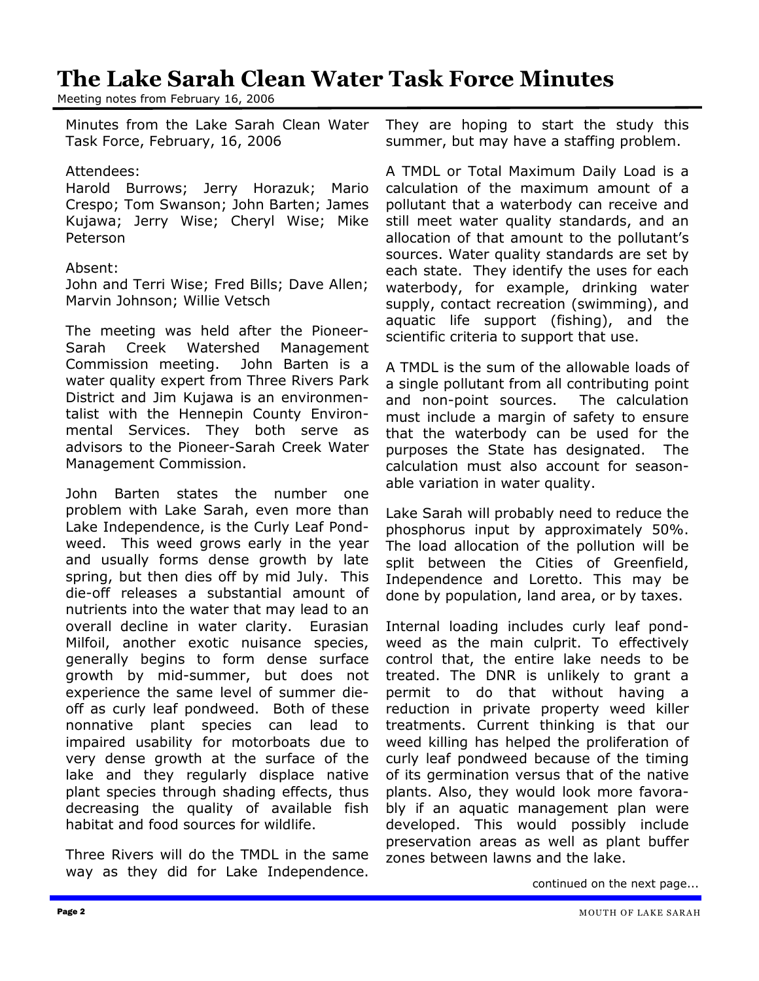### The Lake Sarah Clean Water Task Force Minutes

Meeting notes from February 16, 2006

Minutes from the Lake Sarah Clean Water Task Force, February, 16, 2006

#### Attendees:

Harold Burrows; Jerry Horazuk; Mario Crespo; Tom Swanson; John Barten; James Kujawa; Jerry Wise; Cheryl Wise; Mike Peterson

#### Absent:

John and Terri Wise; Fred Bills; Dave Allen; Marvin Johnson; Willie Vetsch

The meeting was held after the Pioneer-Sarah Creek Watershed Management Commission meeting. John Barten is a water quality expert from Three Rivers Park District and Jim Kujawa is an environmentalist with the Hennepin County Environmental Services. They both serve as advisors to the Pioneer-Sarah Creek Water Management Commission.

John Barten states the number one problem with Lake Sarah, even more than Lake Independence, is the Curly Leaf Pondweed. This weed grows early in the year and usually forms dense growth by late spring, but then dies off by mid July. This die-off releases a substantial amount of nutrients into the water that may lead to an overall decline in water clarity. Eurasian Milfoil, another exotic nuisance species, generally begins to form dense surface growth by mid-summer, but does not experience the same level of summer dieoff as curly leaf pondweed. Both of these nonnative plant species can lead to impaired usability for motorboats due to very dense growth at the surface of the lake and they regularly displace native plant species through shading effects, thus decreasing the quality of available fish habitat and food sources for wildlife.

Three Rivers will do the TMDL in the same way as they did for Lake Independence.

They are hoping to start the study this summer, but may have a staffing problem.

A TMDL or Total Maximum Daily Load is a calculation of the maximum amount of a pollutant that a waterbody can receive and still meet water quality standards, and an allocation of that amount to the pollutant's sources. Water quality standards are set by each state. They identify the uses for each waterbody, for example, drinking water supply, contact recreation (swimming), and aquatic life support (fishing), and the scientific criteria to support that use.

A TMDL is the sum of the allowable loads of a single pollutant from all contributing point and non-point sources. The calculation must include a margin of safety to ensure that the waterbody can be used for the purposes the State has designated. The calculation must also account for seasonable variation in water quality.

Lake Sarah will probably need to reduce the phosphorus input by approximately 50%. The load allocation of the pollution will be split between the Cities of Greenfield, Independence and Loretto. This may be done by population, land area, or by taxes.

Internal loading includes curly leaf pondweed as the main culprit. To effectively control that, the entire lake needs to be treated. The DNR is unlikely to grant a permit to do that without having a reduction in private property weed killer treatments. Current thinking is that our weed killing has helped the proliferation of curly leaf pondweed because of the timing of its germination versus that of the native plants. Also, they would look more favorably if an aquatic management plan were developed. This would possibly include preservation areas as well as plant buffer zones between lawns and the lake.

continued on the next page...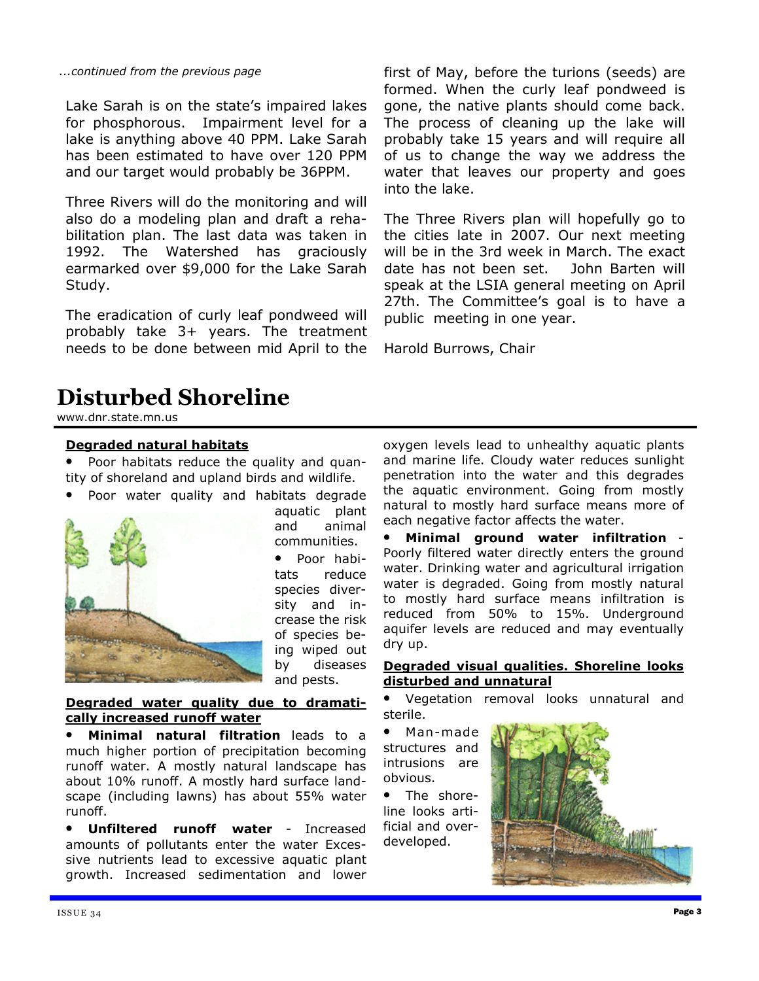#### ...continued from the previous page

Lake Sarah is on the state's impaired lakes for phosphorous. Impairment level for a lake is anything above 40 PPM. Lake Sarah has been estimated to have over 120 PPM and our target would probably be 36PPM.

Three Rivers will do the monitoring and will also do a modeling plan and draft a rehabilitation plan. The last data was taken in 1992. The Watershed has graciously earmarked over \$9,000 for the Lake Sarah Study.

The eradication of curly leaf pondweed will probably take 3+ years. The treatment needs to be done between mid April to the first of May, before the turions (seeds) are formed. When the curly leaf pondweed is gone, the native plants should come back. The process of cleaning up the lake will probably take 15 years and will require all of us to change the way we address the water that leaves our property and goes into the lake.

The Three Rivers plan will hopefully go to the cities late in 2007. Our next meeting will be in the 3rd week in March. The exact date has not been set. John Barten will speak at the LSIA general meeting on April 27th. The Committee's goal is to have a public meeting in one year.

Harold Burrows, Chair

## Disturbed Shoreline

www.dnr.state.mn.us

#### Degraded natural habitats

• Poor habitats reduce the quality and quantity of shoreland and upland birds and wildlife.

• Poor water quality and habitats degrade



aquatic plant and animal communities.

• Poor habitats reduce species diversity and increase the risk of species being wiped out by diseases and pests.

Degraded water quality due to dramatically increased runoff water

**Minimal natural filtration** leads to a much higher portion of precipitation becoming runoff water. A mostly natural landscape has about 10% runoff. A mostly hard surface landscape (including lawns) has about 55% water runoff.

• Unfiltered runoff water - Increased amounts of pollutants enter the water Excessive nutrients lead to excessive aquatic plant growth. Increased sedimentation and lower oxygen levels lead to unhealthy aquatic plants and marine life. Cloudy water reduces sunlight penetration into the water and this degrades the aquatic environment. Going from mostly natural to mostly hard surface means more of each negative factor affects the water.

• Minimal ground water infiltration - Poorly filtered water directly enters the ground water. Drinking water and agricultural irrigation water is degraded. Going from mostly natural to mostly hard surface means infiltration is reduced from 50% to 15%. Underground aquifer levels are reduced and may eventually dry up.

#### Degraded visual qualities. Shoreline looks disturbed and unnatural

• Vegetation removal looks unnatural and sterile.

• Man-made structures and intrusions are obvious.

• The shoreline looks artificial and overdeveloped.

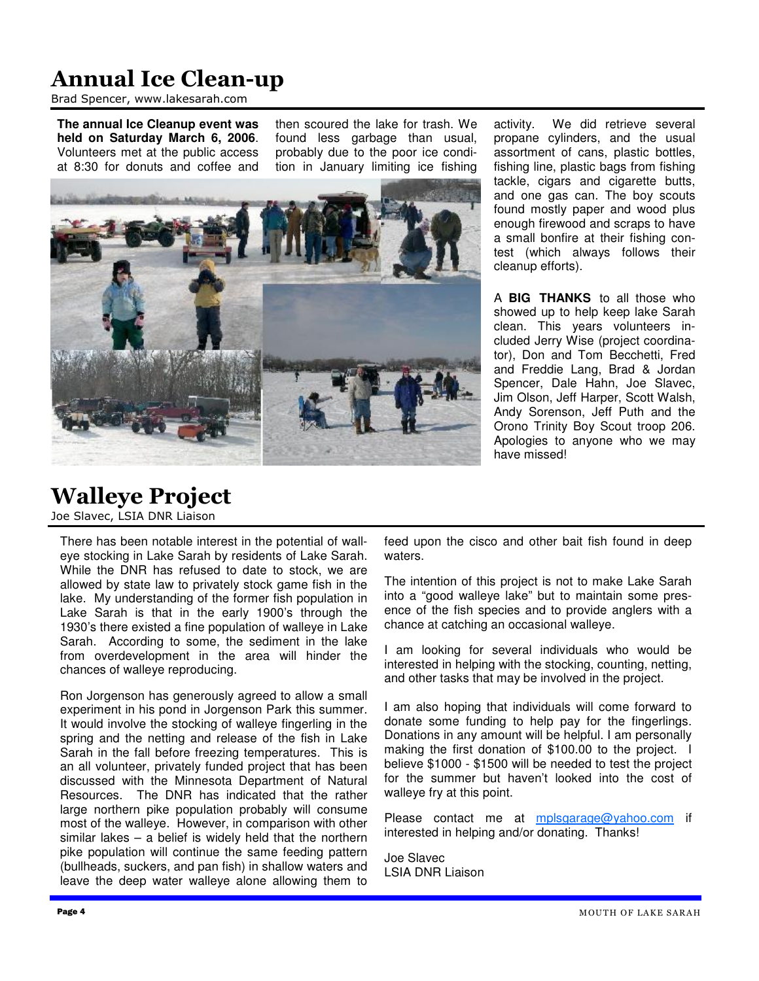## Annual Ice Clean-up

Brad Spencer, www.lakesarah.com

**The annual Ice Cleanup event was held on Saturday March 6, 2006**. Volunteers met at the public access at 8:30 for donuts and coffee and then scoured the lake for trash. We found less garbage than usual, probably due to the poor ice condition in January limiting ice fishing



activity. We did retrieve several propane cylinders, and the usual assortment of cans, plastic bottles, fishing line, plastic bags from fishing tackle, cigars and cigarette butts, and one gas can. The boy scouts found mostly paper and wood plus enough firewood and scraps to have a small bonfire at their fishing contest (which always follows their cleanup efforts).

A **BIG THANKS** to all those who showed up to help keep lake Sarah clean. This years volunteers included Jerry Wise (project coordinator), Don and Tom Becchetti, Fred and Freddie Lang, Brad & Jordan Spencer, Dale Hahn, Joe Slavec, Jim Olson, Jeff Harper, Scott Walsh, Andy Sorenson, Jeff Puth and the Orono Trinity Boy Scout troop 206. Apologies to anyone who we may have missed!

## Walleye Project

Joe Slavec, LSIA DNR Liaison

There has been notable interest in the potential of walleye stocking in Lake Sarah by residents of Lake Sarah. While the DNR has refused to date to stock, we are allowed by state law to privately stock game fish in the lake. My understanding of the former fish population in Lake Sarah is that in the early 1900's through the 1930's there existed a fine population of walleye in Lake Sarah. According to some, the sediment in the lake from overdevelopment in the area will hinder the chances of walleye reproducing.

Ron Jorgenson has generously agreed to allow a small experiment in his pond in Jorgenson Park this summer. It would involve the stocking of walleye fingerling in the spring and the netting and release of the fish in Lake Sarah in the fall before freezing temperatures. This is an all volunteer, privately funded project that has been discussed with the Minnesota Department of Natural Resources. The DNR has indicated that the rather large northern pike population probably will consume most of the walleye. However, in comparison with other similar lakes – a belief is widely held that the northern pike population will continue the same feeding pattern (bullheads, suckers, and pan fish) in shallow waters and leave the deep water walleye alone allowing them to

feed upon the cisco and other bait fish found in deep waters.

The intention of this project is not to make Lake Sarah into a "good walleye lake" but to maintain some presence of the fish species and to provide anglers with a chance at catching an occasional walleye.

I am looking for several individuals who would be interested in helping with the stocking, counting, netting, and other tasks that may be involved in the project.

I am also hoping that individuals will come forward to donate some funding to help pay for the fingerlings. Donations in any amount will be helpful. I am personally making the first donation of \$100.00 to the project. I believe \$1000 - \$1500 will be needed to test the project for the summer but haven't looked into the cost of walleye fry at this point.

Please contact me at mplsgarage@yahoo.com if interested in helping and/or donating. Thanks!

Joe Slavec LSIA DNR Liaison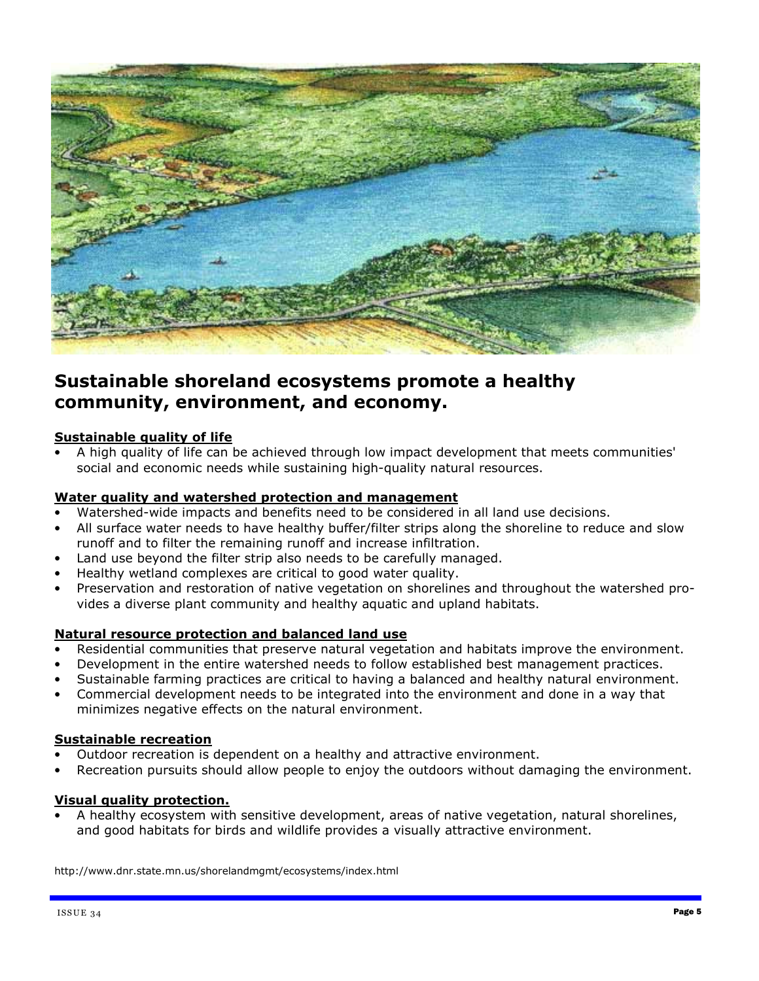

### Sustainable shoreland ecosystems promote a healthy community, environment, and economy.

#### Sustainable quality of life

• A high quality of life can be achieved through low impact development that meets communities' social and economic needs while sustaining high-quality natural resources.

#### Water quality and watershed protection and management

- Watershed-wide impacts and benefits need to be considered in all land use decisions.
- All surface water needs to have healthy buffer/filter strips along the shoreline to reduce and slow runoff and to filter the remaining runoff and increase infiltration.
- Land use beyond the filter strip also needs to be carefully managed.
- Healthy wetland complexes are critical to good water quality.
- Preservation and restoration of native vegetation on shorelines and throughout the watershed provides a diverse plant community and healthy aquatic and upland habitats.

#### Natural resource protection and balanced land use

- Residential communities that preserve natural vegetation and habitats improve the environment.
- Development in the entire watershed needs to follow established best management practices.
- Sustainable farming practices are critical to having a balanced and healthy natural environment.
- Commercial development needs to be integrated into the environment and done in a way that minimizes negative effects on the natural environment.

#### Sustainable recreation

- Outdoor recreation is dependent on a healthy and attractive environment.
- Recreation pursuits should allow people to enjoy the outdoors without damaging the environment.

#### Visual quality protection.

• A healthy ecosystem with sensitive development, areas of native vegetation, natural shorelines, and good habitats for birds and wildlife provides a visually attractive environment.

http://www.dnr.state.mn.us/shorelandmgmt/ecosystems/index.html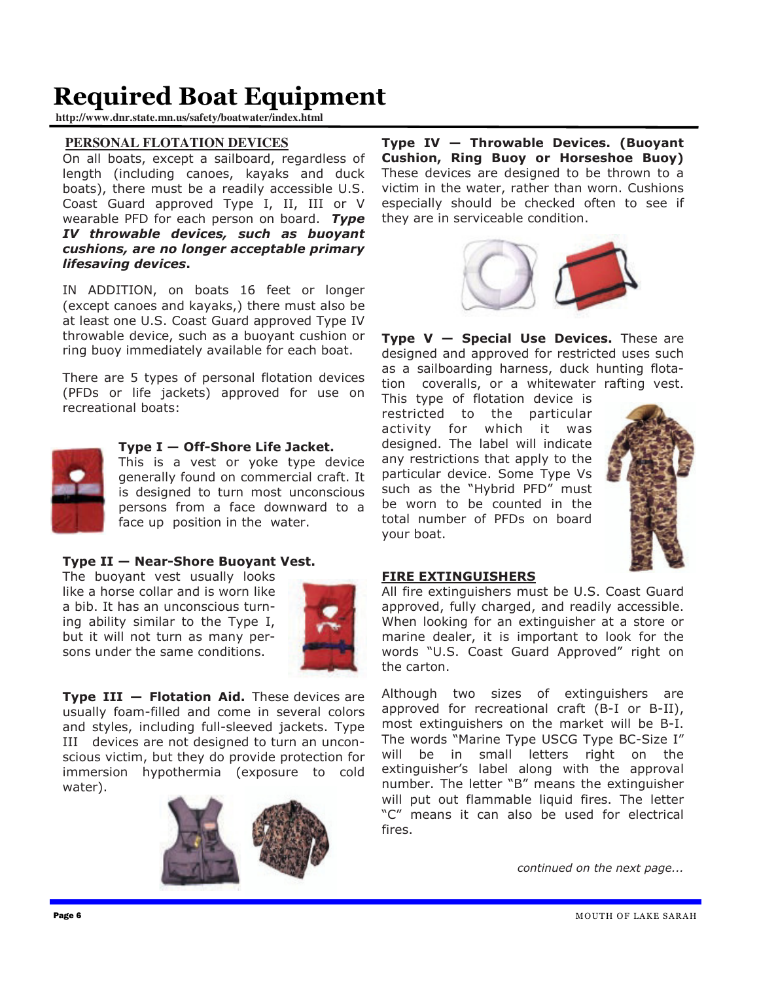# Required Boat Equipment

 **http://www.dnr.state.mn.us/safety/boatwater/index.html**

#### **PERSONAL FLOTATION DEVICES**

On all boats, except a sailboard, regardless of length (including canoes, kayaks and duck boats), there must be a readily accessible U.S. Coast Guard approved Type I, II, III or V wearable PFD for each person on board.  $Type$ IV throwable devices, such as buoyant cushions, are no longer acceptable primary lifesaving devices.

IN ADDITION, on boats 16 feet or longer (except canoes and kayaks,) there must also be at least one U.S. Coast Guard approved Type IV throwable device, such as a buoyant cushion or ring buoy immediately available for each boat.

There are 5 types of personal flotation devices (PFDs or life jackets) approved for use on recreational boats:



#### Type I — Off-Shore Life Jacket.

This is a vest or yoke type device generally found on commercial craft. It is designed to turn most unconscious persons from a face downward to a face up position in the water.

#### Type II — Near-Shore Buoyant Vest.

The buoyant vest usually looks like a horse collar and is worn like a bib. It has an unconscious turning ability similar to the Type I, but it will not turn as many persons under the same conditions.



**Type III**  $-$  **Flotation Aid.** These devices are usually foam-filled and come in several colors and styles, including full-sleeved jackets. Type III devices are not designed to turn an unconscious victim, but they do provide protection for immersion hypothermia (exposure to cold water).



Type IV — Throwable Devices. (Buoyant Cushion, Ring Buoy or Horseshoe Buoy) These devices are designed to be thrown to a victim in the water, rather than worn. Cushions especially should be checked often to see if they are in serviceable condition.



Type  $V -$  Special Use Devices. These are designed and approved for restricted uses such as a sailboarding harness, duck hunting flotation coveralls, or a whitewater rafting vest.

This type of flotation device is restricted to the particular activity for which it was designed. The label will indicate any restrictions that apply to the particular device. Some Type Vs such as the "Hybrid PFD" must be worn to be counted in the total number of PFDs on board your boat.



#### FIRE EXTINGUISHERS

All fire extinguishers must be U.S. Coast Guard approved, fully charged, and readily accessible. When looking for an extinguisher at a store or marine dealer, it is important to look for the words "U.S. Coast Guard Approved" right on the carton.

Although two sizes of extinguishers are approved for recreational craft (B-I or B-II), most extinguishers on the market will be B-I. The words "Marine Type USCG Type BC-Size I" will be in small letters right on the extinguisher's label along with the approval number. The letter "B" means the extinguisher will put out flammable liquid fires. The letter "C" means it can also be used for electrical fires.

continued on the next page...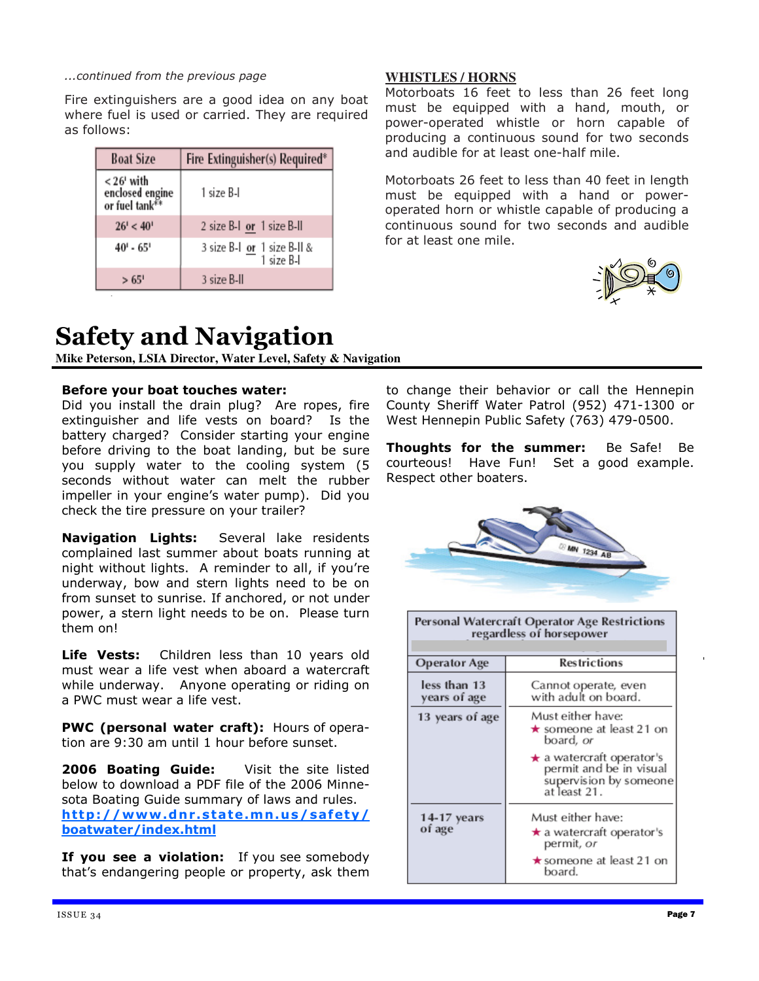...continued from the previous page

Fire extinguishers are a good idea on any boat where fuel is used or carried. They are required as follows:

| <b>Boat Size</b>                                              | Fire Extinguisher(s) Required*            |
|---------------------------------------------------------------|-------------------------------------------|
| $< 26'$ with<br>enclosed engine<br>or fuel tank <sup>**</sup> | 1 size B-I                                |
| 26' < 40'                                                     | 2 size B-1 or 1 size B-II                 |
| $40' - 65'$                                                   | 3 size B-I or 1 size B-II &<br>1 size B-I |
| > 65'                                                         | 3 size B-II                               |

#### **WHISTLES / HORNS**

Motorboats 16 feet to less than 26 feet long must be equipped with a hand, mouth, or power-operated whistle or horn capable of producing a continuous sound for two seconds and audible for at least one-half mile.

Motorboats 26 feet to less than 40 feet in length must be equipped with a hand or poweroperated horn or whistle capable of producing a continuous sound for two seconds and audible for at least one mile.



# Safety and Navigation

**Mike Peterson, LSIA Director, Water Level, Safety & Navigation**

#### Before your boat touches water:

Did you install the drain plug? Are ropes, fire extinguisher and life vests on board? Is the battery charged? Consider starting your engine before driving to the boat landing, but be sure you supply water to the cooling system (5 seconds without water can melt the rubber impeller in your engine's water pump). Did you check the tire pressure on your trailer?

Navigation Lights: Several lake residents complained last summer about boats running at night without lights. A reminder to all, if you're underway, bow and stern lights need to be on from sunset to sunrise. If anchored, or not under power, a stern light needs to be on. Please turn them on!

Life Vests: Children less than 10 years old must wear a life vest when aboard a watercraft while underway. Anyone operating or riding on a PWC must wear a life vest.

PWC (personal water craft): Hours of operation are 9:30 am until 1 hour before sunset.

2006 Boating Guide: Visit the site listed below to download a PDF file of the 2006 Minnesota Boating Guide summary of laws and rules. http://www.dnr.state.mn.us/safety/ boatwater/index.html

If you see a violation: If you see somebody that's endangering people or property, ask them to change their behavior or call the Hennepin County Sheriff Water Patrol (952) 471-1300 or West Hennepin Public Safety (763) 479-0500.

Thoughts for the summer: Be Safe! Be courteous! Have Fun! Set a good example. Respect other boaters.



| Personal Watercraft Operator Age Restrictions<br>regardless of horsepower |                                                                                                                |
|---------------------------------------------------------------------------|----------------------------------------------------------------------------------------------------------------|
|                                                                           |                                                                                                                |
| Operator Age                                                              | Restrictions                                                                                                   |
| less than 13<br>years of age                                              | Cannot operate, even<br>with adult on board.                                                                   |
| 13 years of age                                                           | Must either have:<br>$\star$ someone at least 21 on<br>board, <i>or</i>                                        |
|                                                                           | $\star$ a watercraft operator's<br>permit and be in visual<br>supervision by someone<br>at least 21.           |
| 14-17 years<br>of age                                                     | Must either have:<br>$\star$ a watercraft operator's<br>permit, or<br>$\star$ someone at least 21 on<br>board. |